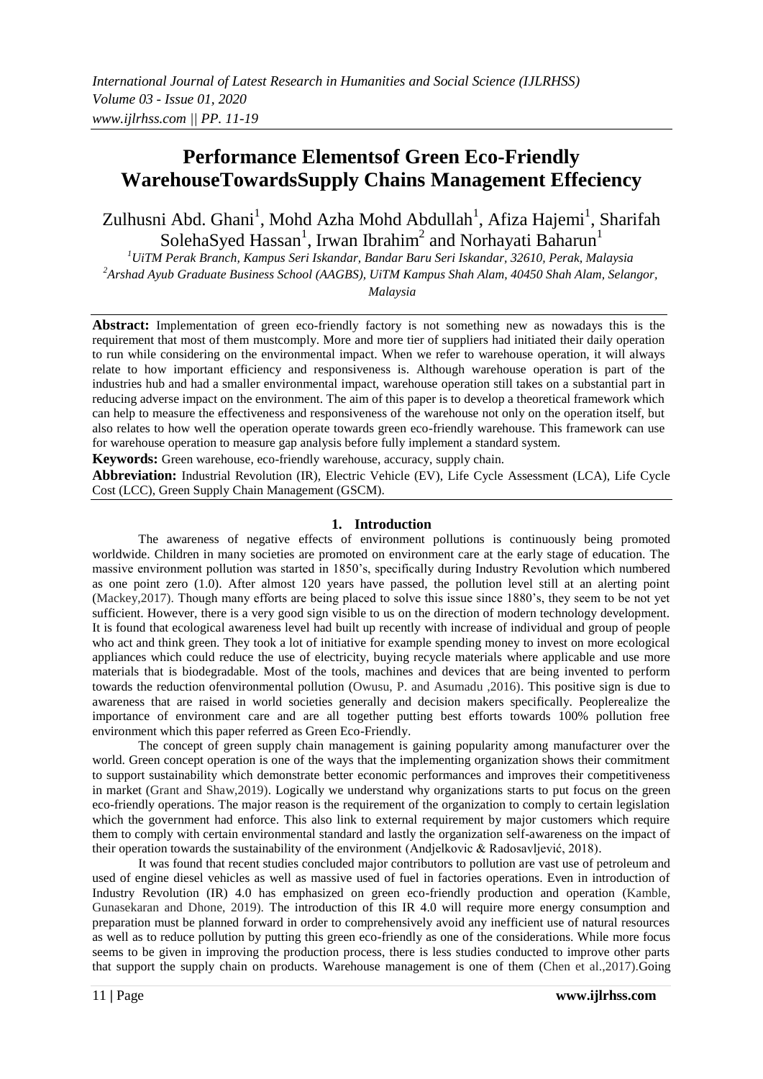# **Performance Elementsof Green Eco-Friendly WarehouseTowardsSupply Chains Management Effeciency**

Zulhusni Abd. Ghani<sup>1</sup>, Mohd Azha Mohd Abdullah<sup>1</sup>, Afiza Hajemi<sup>1</sup>, Sharifah SolehaSyed Hassan<sup>1</sup>, Irwan Ibrahim<sup>2</sup> and Norhayati Baharun<sup>1</sup>

*<sup>1</sup>UiTM Perak Branch, Kampus Seri Iskandar, Bandar Baru Seri Iskandar, 32610, Perak, Malaysia <sup>2</sup>Arshad Ayub Graduate Business School (AAGBS), UiTM Kampus Shah Alam, 40450 Shah Alam, Selangor,* 

*Malaysia*

**Abstract:** Implementation of green eco-friendly factory is not something new as nowadays this is the requirement that most of them mustcomply. More and more tier of suppliers had initiated their daily operation to run while considering on the environmental impact. When we refer to warehouse operation, it will always relate to how important efficiency and responsiveness is. Although warehouse operation is part of the industries hub and had a smaller environmental impact, warehouse operation still takes on a substantial part in reducing adverse impact on the environment. The aim of this paper is to develop a theoretical framework which can help to measure the effectiveness and responsiveness of the warehouse not only on the operation itself, but also relates to how well the operation operate towards green eco-friendly warehouse. This framework can use for warehouse operation to measure gap analysis before fully implement a standard system.

**Keywords:** Green warehouse, eco-friendly warehouse, accuracy, supply chain.

**Abbreviation:** Industrial Revolution (IR), Electric Vehicle (EV), Life Cycle Assessment (LCA), Life Cycle Cost (LCC), Green Supply Chain Management (GSCM).

# **1. Introduction**

The awareness of negative effects of environment pollutions is continuously being promoted worldwide. Children in many societies are promoted on environment care at the early stage of education. The massive environment pollution was started in 1850's, specifically during Industry Revolution which numbered as one point zero (1.0). After almost 120 years have passed, the pollution level still at an alerting point (Mackey,2017). Though many efforts are being placed to solve this issue since 1880's, they seem to be not yet sufficient. However, there is a very good sign visible to us on the direction of modern technology development. It is found that ecological awareness level had built up recently with increase of individual and group of people who act and think green. They took a lot of initiative for example spending money to invest on more ecological appliances which could reduce the use of electricity, buying recycle materials where applicable and use more materials that is biodegradable. Most of the tools, machines and devices that are being invented to perform towards the reduction ofenvironmental pollution (Owusu, P. and Asumadu ,2016). This positive sign is due to awareness that are raised in world societies generally and decision makers specifically. Peoplerealize the importance of environment care and are all together putting best efforts towards 100% pollution free environment which this paper referred as Green Eco-Friendly.

The concept of green supply chain management is gaining popularity among manufacturer over the world. Green concept operation is one of the ways that the implementing organization shows their commitment to support sustainability which demonstrate better economic performances and improves their competitiveness in market (Grant and Shaw,2019). Logically we understand why organizations starts to put focus on the green eco-friendly operations. The major reason is the requirement of the organization to comply to certain legislation which the government had enforce. This also link to external requirement by major customers which require them to comply with certain environmental standard and lastly the organization self-awareness on the impact of their operation towards the sustainability of the environment (Andjelkovic & Radosavljević, 2018).

It was found that recent studies concluded major contributors to pollution are vast use of petroleum and used of engine diesel vehicles as well as massive used of fuel in factories operations. Even in introduction of Industry Revolution (IR) 4.0 has emphasized on green eco-friendly production and operation (Kamble, Gunasekaran and Dhone, 2019). The introduction of this IR 4.0 will require more energy consumption and preparation must be planned forward in order to comprehensively avoid any inefficient use of natural resources as well as to reduce pollution by putting this green eco-friendly as one of the considerations. While more focus seems to be given in improving the production process, there is less studies conducted to improve other parts that support the supply chain on products. Warehouse management is one of them (Chen et al.,2017).Going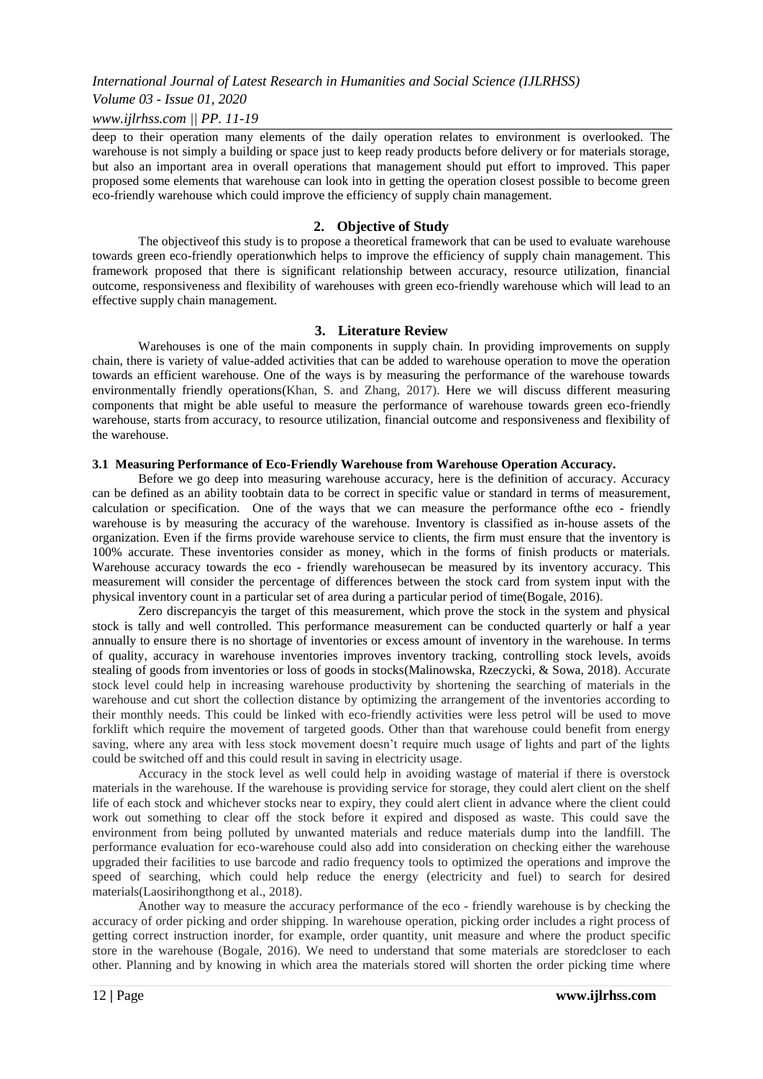*Volume 03 - Issue 01, 2020*

#### *www.ijlrhss.com || PP. 11-19*

deep to their operation many elements of the daily operation relates to environment is overlooked. The warehouse is not simply a building or space just to keep ready products before delivery or for materials storage, but also an important area in overall operations that management should put effort to improved. This paper proposed some elements that warehouse can look into in getting the operation closest possible to become green eco-friendly warehouse which could improve the efficiency of supply chain management.

#### **2. Objective of Study**

The objectiveof this study is to propose a theoretical framework that can be used to evaluate warehouse towards green eco-friendly operationwhich helps to improve the efficiency of supply chain management. This framework proposed that there is significant relationship between accuracy, resource utilization, financial outcome, responsiveness and flexibility of warehouses with green eco-friendly warehouse which will lead to an effective supply chain management.

#### **3. Literature Review**

Warehouses is one of the main components in supply chain. In providing improvements on supply chain, there is variety of value-added activities that can be added to warehouse operation to move the operation towards an efficient warehouse. One of the ways is by measuring the performance of the warehouse towards environmentally friendly operations(Khan, S. and Zhang, 2017). Here we will discuss different measuring components that might be able useful to measure the performance of warehouse towards green eco-friendly warehouse, starts from accuracy, to resource utilization, financial outcome and responsiveness and flexibility of the warehouse.

#### **3.1 Measuring Performance of Eco-Friendly Warehouse from Warehouse Operation Accuracy.**

Before we go deep into measuring warehouse accuracy, here is the definition of accuracy. Accuracy can be defined as an ability toobtain data to be correct in specific value or standard in terms of measurement, calculation or specification. One of the ways that we can measure the performance ofthe eco - friendly warehouse is by measuring the accuracy of the warehouse. Inventory is classified as in-house assets of the organization. Even if the firms provide warehouse service to clients, the firm must ensure that the inventory is 100% accurate. These inventories consider as money, which in the forms of finish products or materials. Warehouse accuracy towards the eco - friendly warehousecan be measured by its inventory accuracy. This measurement will consider the percentage of differences between the stock card from system input with the physical inventory count in a particular set of area during a particular period of time(Bogale, 2016).

Zero discrepancyis the target of this measurement, which prove the stock in the system and physical stock is tally and well controlled. This performance measurement can be conducted quarterly or half a year annually to ensure there is no shortage of inventories or excess amount of inventory in the warehouse. In terms of quality, accuracy in warehouse inventories improves inventory tracking, controlling stock levels, avoids stealing of goods from inventories or loss of goods in stocks(Malinowska, Rzeczycki, & Sowa, 2018). Accurate stock level could help in increasing warehouse productivity by shortening the searching of materials in the warehouse and cut short the collection distance by optimizing the arrangement of the inventories according to their monthly needs. This could be linked with eco-friendly activities were less petrol will be used to move forklift which require the movement of targeted goods. Other than that warehouse could benefit from energy saving, where any area with less stock movement doesn't require much usage of lights and part of the lights could be switched off and this could result in saving in electricity usage.

Accuracy in the stock level as well could help in avoiding wastage of material if there is overstock materials in the warehouse. If the warehouse is providing service for storage, they could alert client on the shelf life of each stock and whichever stocks near to expiry, they could alert client in advance where the client could work out something to clear off the stock before it expired and disposed as waste. This could save the environment from being polluted by unwanted materials and reduce materials dump into the landfill. The performance evaluation for eco-warehouse could also add into consideration on checking either the warehouse upgraded their facilities to use barcode and radio frequency tools to optimized the operations and improve the speed of searching, which could help reduce the energy (electricity and fuel) to search for desired materials(Laosirihongthong et al., 2018).

Another way to measure the accuracy performance of the eco - friendly warehouse is by checking the accuracy of order picking and order shipping. In warehouse operation, picking order includes a right process of getting correct instruction inorder, for example, order quantity, unit measure and where the product specific store in the warehouse (Bogale, 2016). We need to understand that some materials are storedcloser to each other. Planning and by knowing in which area the materials stored will shorten the order picking time where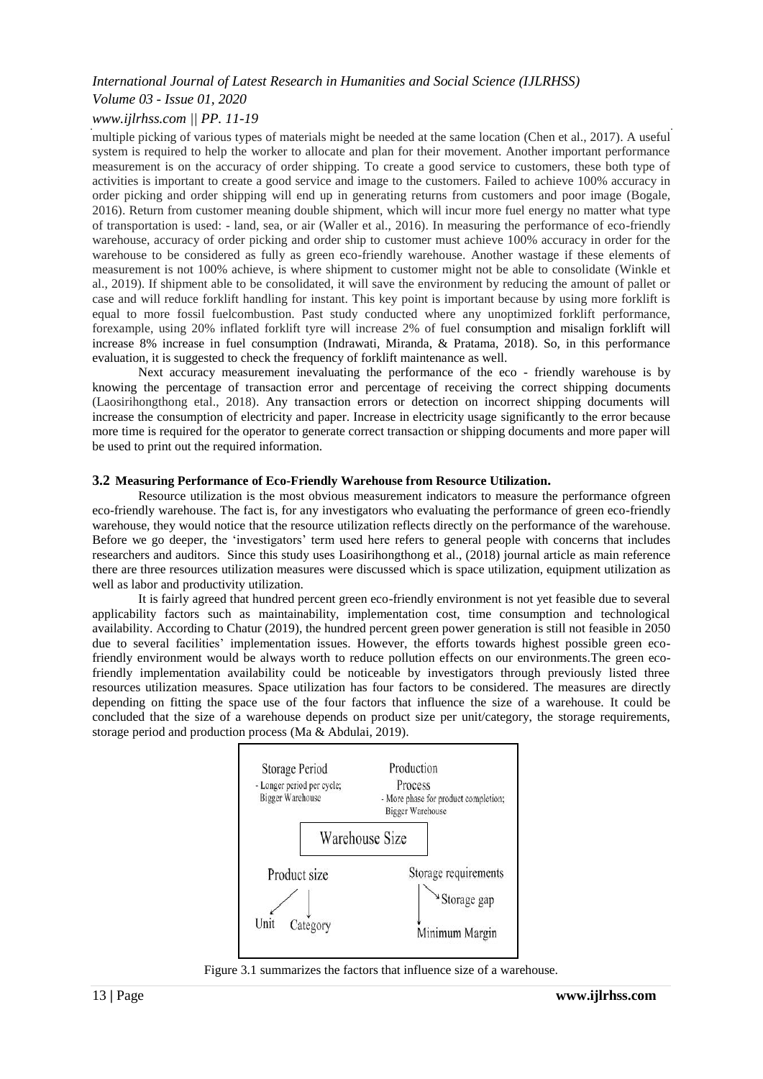# *Volume 03 - Issue 01, 2020*

# *www.ijlrhss.com || PP. 11-19*

multiple picking of various types of materials might be needed at the same location (Chen et al., 2017). A useful system is required to help the worker to allocate and plan for their movement. Another important performance measurement is on the accuracy of order shipping. To create a good service to customers, these both type of activities is important to create a good service and image to the customers. Failed to achieve 100% accuracy in order picking and order shipping will end up in generating returns from customers and poor image (Bogale, 2016). Return from customer meaning double shipment, which will incur more fuel energy no matter what type of transportation is used: - land, sea, or air (Waller et al., 2016). In measuring the performance of eco-friendly warehouse, accuracy of order picking and order ship to customer must achieve 100% accuracy in order for the warehouse to be considered as fully as green eco-friendly warehouse. Another wastage if these elements of measurement is not 100% achieve, is where shipment to customer might not be able to consolidate (Winkle et al., 2019). If shipment able to be consolidated, it will save the environment by reducing the amount of pallet or case and will reduce forklift handling for instant. This key point is important because by using more forklift is equal to more fossil fuelcombustion. Past study conducted where any unoptimized forklift performance, forexample, using 20% inflated forklift tyre will increase 2% of fuel consumption and misalign forklift will increase 8% increase in fuel consumption (Indrawati, Miranda, & Pratama, 2018). So, in this performance evaluation, it is suggested to check the frequency of forklift maintenance as well.

Next accuracy measurement inevaluating the performance of the eco - friendly warehouse is by knowing the percentage of transaction error and percentage of receiving the correct shipping documents (Laosirihongthong etal., 2018). Any transaction errors or detection on incorrect shipping documents will increase the consumption of electricity and paper. Increase in electricity usage significantly to the error because more time is required for the operator to generate correct transaction or shipping documents and more paper will be used to print out the required information.

#### **3.2 Measuring Performance of Eco-Friendly Warehouse from Resource Utilization.**

Resource utilization is the most obvious measurement indicators to measure the performance ofgreen eco-friendly warehouse. The fact is, for any investigators who evaluating the performance of green eco-friendly warehouse, they would notice that the resource utilization reflects directly on the performance of the warehouse. Before we go deeper, the 'investigators' term used here refers to general people with concerns that includes researchers and auditors. Since this study uses Loasirihongthong et al., (2018) journal article as main reference there are three resources utilization measures were discussed which is space utilization, equipment utilization as well as labor and productivity utilization.

It is fairly agreed that hundred percent green eco-friendly environment is not yet feasible due to several applicability factors such as maintainability, implementation cost, time consumption and technological availability. According to Chatur (2019), the hundred percent green power generation is still not feasible in 2050 due to several facilities' implementation issues. However, the efforts towards highest possible green ecofriendly environment would be always worth to reduce pollution effects on our environments.The green ecofriendly implementation availability could be noticeable by investigators through previously listed three resources utilization measures. Space utilization has four factors to be considered. The measures are directly depending on fitting the space use of the four factors that influence the size of a warehouse. It could be concluded that the size of a warehouse depends on product size per unit/category, the storage requirements, storage period and production process (Ma & Abdulai, 2019).



Figure 3.1 summarizes the factors that influence size of a warehouse.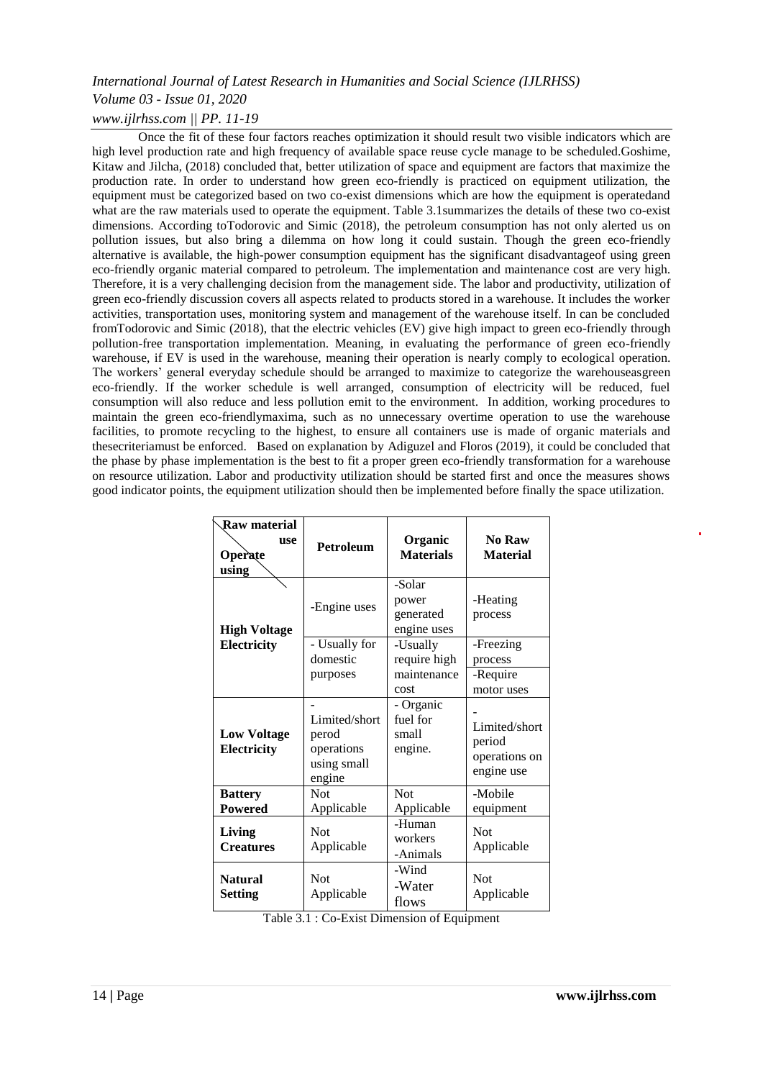Once the fit of these four factors reaches optimization it should result two visible indicators which are high level production rate and high frequency of available space reuse cycle manage to be scheduled.Goshime, Kitaw and Jilcha, (2018) concluded that, better utilization of space and equipment are factors that maximize the production rate. In order to understand how green eco-friendly is practiced on equipment utilization, the equipment must be categorized based on two co-exist dimensions which are how the equipment is operatedand what are the raw materials used to operate the equipment. Table 3.1summarizes the details of these two co-exist dimensions. According toTodorovic and Simic (2018), the petroleum consumption has not only alerted us on pollution issues, but also bring a dilemma on how long it could sustain. Though the green eco-friendly alternative is available, the high-power consumption equipment has the significant disadvantageof using green eco-friendly organic material compared to petroleum. The implementation and maintenance cost are very high. Therefore, it is a very challenging decision from the management side. The labor and productivity, utilization of green eco-friendly discussion covers all aspects related to products stored in a warehouse. It includes the worker activities, transportation uses, monitoring system and management of the warehouse itself. In can be concluded fromTodorovic and Simic (2018), that the electric vehicles (EV) give high impact to green eco-friendly through pollution-free transportation implementation. Meaning, in evaluating the performance of green eco-friendly warehouse, if EV is used in the warehouse, meaning their operation is nearly comply to ecological operation. The workers' general everyday schedule should be arranged to maximize to categorize the warehouseasgreen eco-friendly. If the worker schedule is well arranged, consumption of electricity will be reduced, fuel consumption will also reduce and less pollution emit to the environment. In addition, working procedures to maintain the green eco-friendlymaxima, such as no unnecessary overtime operation to use the warehouse facilities, to promote recycling to the highest, to ensure all containers use is made of organic materials and thesecriteriamust be enforced. Based on explanation by Adiguzel and Floros (2019), it could be concluded that the phase by phase implementation is the best to fit a proper green eco-friendly transformation for a warehouse on resource utilization. Labor and productivity utilization should be started first and once the measures shows good indicator points, the equipment utilization should then be implemented before finally the space utilization.

| Raw material<br><b>use</b><br>Operate<br>using | Petroleum                                                     | Organic<br><b>Materials</b>                     | No Raw<br><b>Material</b>                              |
|------------------------------------------------|---------------------------------------------------------------|-------------------------------------------------|--------------------------------------------------------|
| <b>High Voltage</b>                            | -Engine uses                                                  | -Solar<br>power<br>generated<br>engine uses     | -Heating<br>process                                    |
| Electricity                                    | - Usually for<br>domestic<br>purposes                         | -Usually<br>require high<br>maintenance<br>cost | -Freezing<br>process<br>-Require<br>motor uses         |
| <b>Low Voltage</b><br>Electricity              | Limited/short<br>perod<br>operations<br>using small<br>engine | - Organic<br>fuel for<br>small<br>engine.       | Limited/short<br>period<br>operations on<br>engine use |
| <b>Battery</b><br><b>Powered</b>               | Not<br>Applicable                                             | Not<br>Applicable                               | -Mobile<br>equipment                                   |
| Living<br><b>Creatures</b>                     | <b>Not</b><br>Applicable                                      | -Human<br>workers<br>-Animals                   | <b>Not</b><br>Applicable                               |
| <b>Natural</b><br><b>Setting</b>               | <b>Not</b><br>Applicable                                      | -Wind<br>-Water<br>flows                        | <b>Not</b><br>Applicable                               |

| Table 3.1 : Co-Exist Dimension of Equipment |  |
|---------------------------------------------|--|
|---------------------------------------------|--|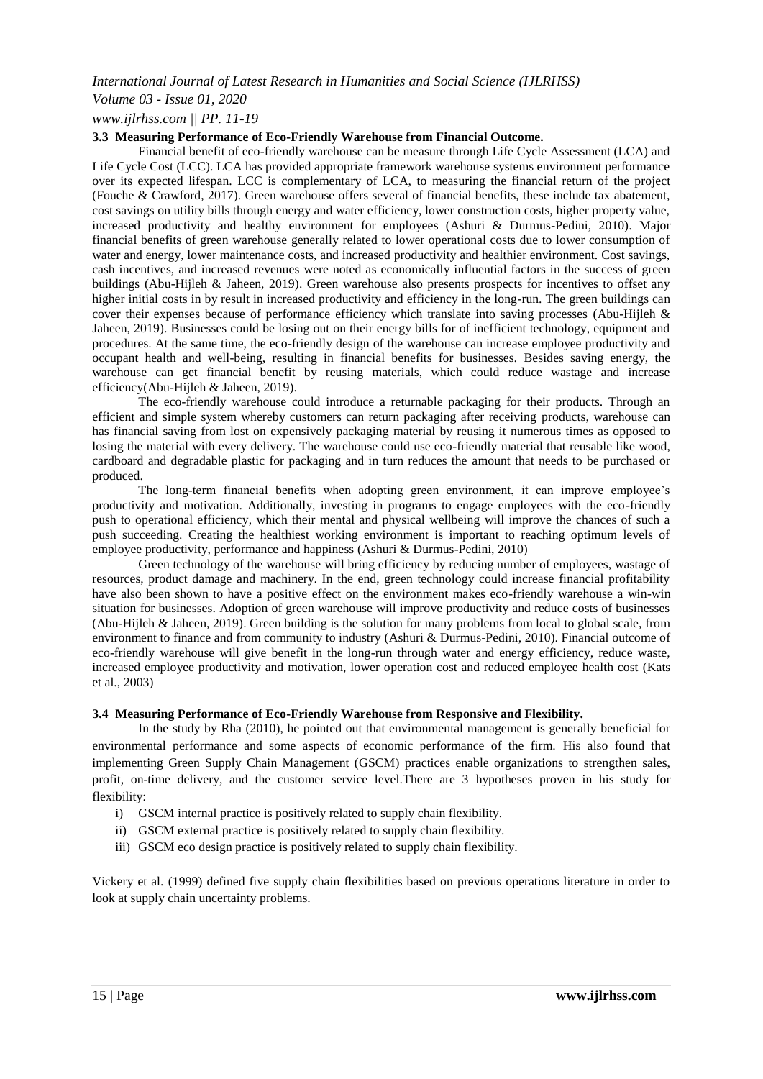# *Volume 03 - Issue 01, 2020*

*www.ijlrhss.com || PP. 11-19*

#### **3.3 Measuring Performance of Eco-Friendly Warehouse from Financial Outcome.**

Financial benefit of eco-friendly warehouse can be measure through Life Cycle Assessment (LCA) and Life Cycle Cost (LCC). LCA has provided appropriate framework warehouse systems environment performance over its expected lifespan. LCC is complementary of LCA, to measuring the financial return of the project (Fouche & Crawford, 2017). Green warehouse offers several of financial benefits, these include tax abatement, cost savings on utility bills through energy and water efficiency, lower construction costs, higher property value, increased productivity and healthy environment for employees (Ashuri & Durmus-Pedini, 2010). Major financial benefits of green warehouse generally related to lower operational costs due to lower consumption of water and energy, lower maintenance costs, and increased productivity and healthier environment. Cost savings, cash incentives, and increased revenues were noted as economically influential factors in the success of green buildings (Abu-Hijleh & Jaheen, 2019). Green warehouse also presents prospects for incentives to offset any higher initial costs in by result in increased productivity and efficiency in the long-run. The green buildings can cover their expenses because of performance efficiency which translate into saving processes (Abu-Hijleh & Jaheen, 2019). Businesses could be losing out on their energy bills for of inefficient technology, equipment and procedures. At the same time, the eco-friendly design of the warehouse can increase employee productivity and occupant health and well-being, resulting in financial benefits for businesses. Besides saving energy, the warehouse can get financial benefit by reusing materials, which could reduce wastage and increase efficiency(Abu-Hijleh & Jaheen, 2019).

The eco-friendly warehouse could introduce a returnable packaging for their products. Through an efficient and simple system whereby customers can return packaging after receiving products, warehouse can has financial saving from lost on expensively packaging material by reusing it numerous times as opposed to losing the material with every delivery. The warehouse could use eco-friendly material that reusable like wood, cardboard and degradable plastic for packaging and in turn reduces the amount that needs to be purchased or produced.

The long-term financial benefits when adopting green environment, it can improve employee's productivity and motivation. Additionally, investing in programs to engage employees with the eco-friendly push to operational efficiency, which their mental and physical wellbeing will improve the chances of such a push succeeding. Creating the healthiest working environment is important to reaching optimum levels of employee productivity, performance and happiness (Ashuri & Durmus-Pedini, 2010)

Green technology of the warehouse will bring efficiency by reducing number of employees, wastage of resources, product damage and machinery. In the end, green technology could increase financial profitability have also been shown to have a positive effect on the environment makes eco-friendly warehouse a win-win situation for businesses. Adoption of green warehouse will improve productivity and reduce costs of businesses (Abu-Hijleh & Jaheen, 2019). Green building is the solution for many problems from local to global scale, from environment to finance and from community to industry (Ashuri & Durmus-Pedini, 2010). Financial outcome of eco-friendly warehouse will give benefit in the long-run through water and energy efficiency, reduce waste, increased employee productivity and motivation, lower operation cost and reduced employee health cost (Kats et al., 2003)

# **3.4 Measuring Performance of Eco-Friendly Warehouse from Responsive and Flexibility.**

In the study by Rha (2010), he pointed out that environmental management is generally beneficial for environmental performance and some aspects of economic performance of the firm. His also found that implementing Green Supply Chain Management (GSCM) practices enable organizations to strengthen sales, profit, on-time delivery, and the customer service level.There are 3 hypotheses proven in his study for flexibility:

- i) GSCM internal practice is positively related to supply chain flexibility.
- ii) GSCM external practice is positively related to supply chain flexibility.
- iii) GSCM eco design practice is positively related to supply chain flexibility.

Vickery et al. (1999) defined five supply chain flexibilities based on previous operations literature in order to look at supply chain uncertainty problems.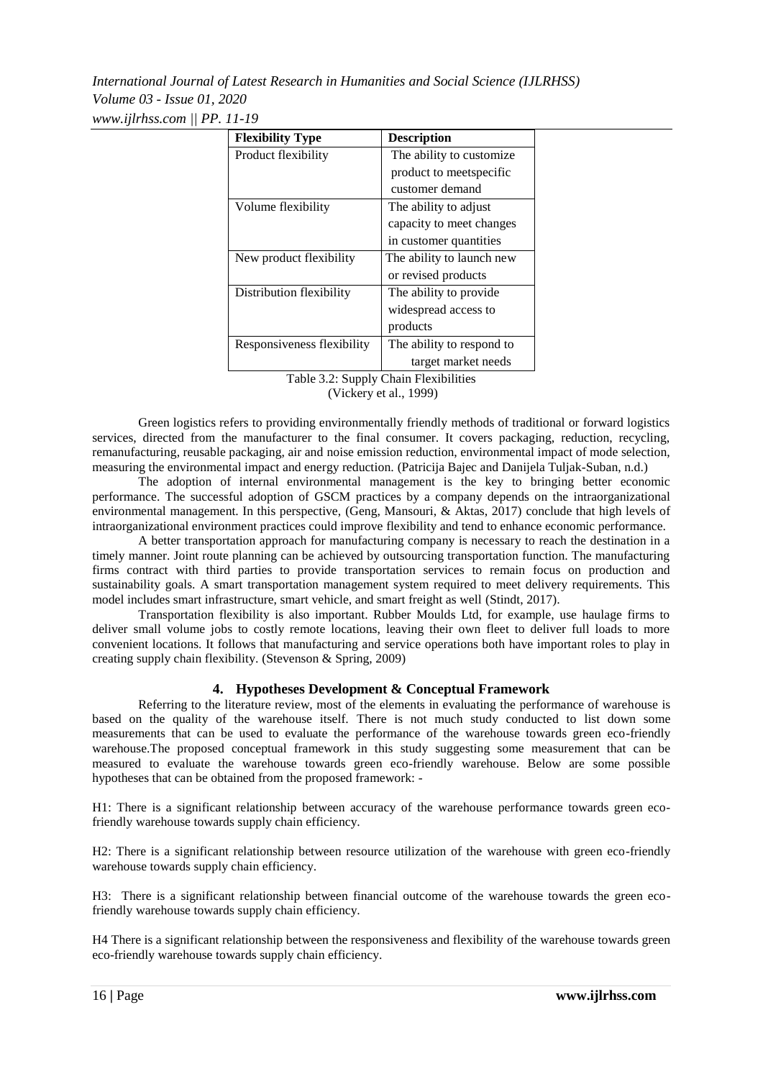| <b>Flexibility Type</b>    | <b>Description</b>        |  |
|----------------------------|---------------------------|--|
| Product flexibility        | The ability to customize. |  |
|                            | product to meetspecific   |  |
|                            | customer demand           |  |
| Volume flexibility         | The ability to adjust     |  |
|                            | capacity to meet changes  |  |
|                            | in customer quantities    |  |
| New product flexibility    | The ability to launch new |  |
|                            | or revised products       |  |
| Distribution flexibility   | The ability to provide    |  |
|                            | widespread access to      |  |
|                            | products                  |  |
| Responsiveness flexibility | The ability to respond to |  |
|                            | target market needs       |  |

Table 3.2: Supply Chain Flexibilities

(Vickery et al., 1999)

Green logistics refers to providing environmentally friendly methods of traditional or forward logistics services, directed from the manufacturer to the final consumer. It covers packaging, reduction, recycling, remanufacturing, reusable packaging, air and noise emission reduction, environmental impact of mode selection, measuring the environmental impact and energy reduction. (Patricija Bajec and Danijela Tuljak-Suban, n.d.)

The adoption of internal environmental management is the key to bringing better economic performance. The successful adoption of GSCM practices by a company depends on the intraorganizational environmental management. In this perspective, (Geng, Mansouri, & Aktas, 2017) conclude that high levels of intraorganizational environment practices could improve flexibility and tend to enhance economic performance.

A better transportation approach for manufacturing company is necessary to reach the destination in a timely manner. Joint route planning can be achieved by outsourcing transportation function. The manufacturing firms contract with third parties to provide transportation services to remain focus on production and sustainability goals. A smart transportation management system required to meet delivery requirements. This model includes smart infrastructure, smart vehicle, and smart freight as well (Stindt, 2017).

Transportation flexibility is also important. Rubber Moulds Ltd, for example, use haulage firms to deliver small volume jobs to costly remote locations, leaving their own fleet to deliver full loads to more convenient locations. It follows that manufacturing and service operations both have important roles to play in creating supply chain flexibility. (Stevenson & Spring, 2009)

# **4. Hypotheses Development & Conceptual Framework**

Referring to the literature review, most of the elements in evaluating the performance of warehouse is based on the quality of the warehouse itself. There is not much study conducted to list down some measurements that can be used to evaluate the performance of the warehouse towards green eco-friendly warehouse.The proposed conceptual framework in this study suggesting some measurement that can be measured to evaluate the warehouse towards green eco-friendly warehouse. Below are some possible hypotheses that can be obtained from the proposed framework: -

H1: There is a significant relationship between accuracy of the warehouse performance towards green ecofriendly warehouse towards supply chain efficiency.

H2: There is a significant relationship between resource utilization of the warehouse with green eco-friendly warehouse towards supply chain efficiency.

H3: There is a significant relationship between financial outcome of the warehouse towards the green ecofriendly warehouse towards supply chain efficiency.

H4 There is a significant relationship between the responsiveness and flexibility of the warehouse towards green eco-friendly warehouse towards supply chain efficiency.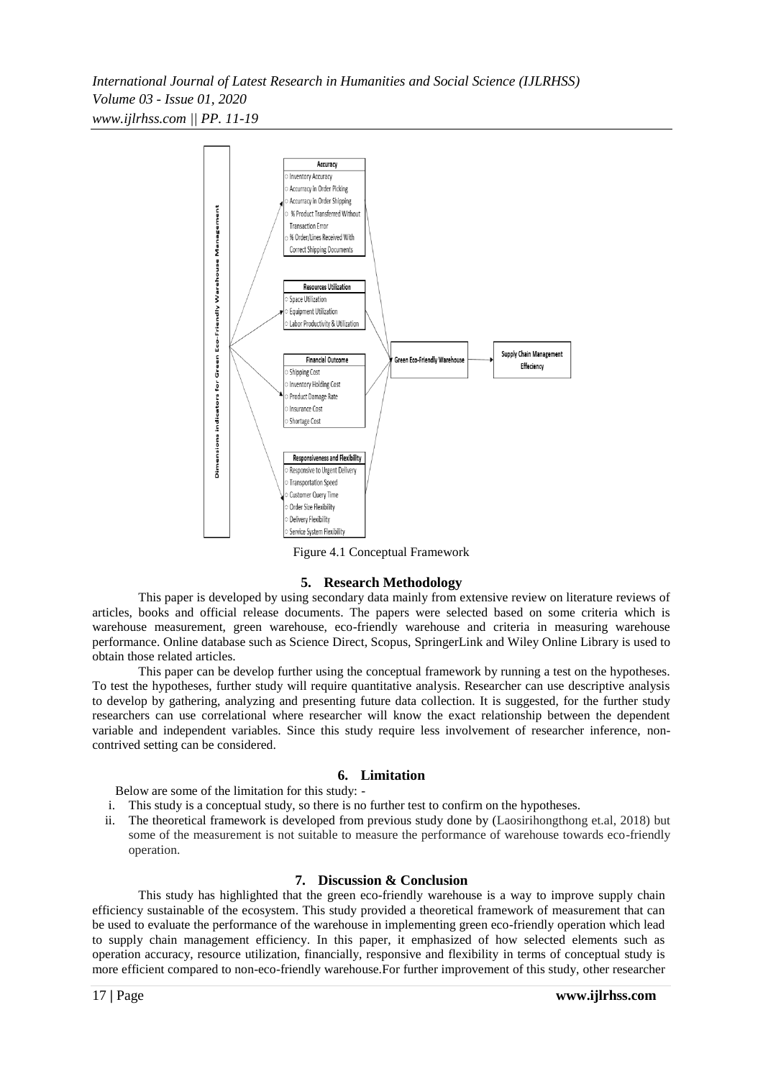

Figure 4.1 Conceptual Framework

# **5. Research Methodology**

This paper is developed by using secondary data mainly from extensive review on literature reviews of articles, books and official release documents. The papers were selected based on some criteria which is warehouse measurement, green warehouse, eco-friendly warehouse and criteria in measuring warehouse performance. Online database such as Science Direct, Scopus, SpringerLink and Wiley Online Library is used to obtain those related articles.

This paper can be develop further using the conceptual framework by running a test on the hypotheses. To test the hypotheses, further study will require quantitative analysis. Researcher can use descriptive analysis to develop by gathering, analyzing and presenting future data collection. It is suggested, for the further study researchers can use correlational where researcher will know the exact relationship between the dependent variable and independent variables. Since this study require less involvement of researcher inference, noncontrived setting can be considered.

# **6. Limitation**

Below are some of the limitation for this study: -

- i. This study is a conceptual study, so there is no further test to confirm on the hypotheses.
- ii. The theoretical framework is developed from previous study done by (Laosirihongthong et.al, 2018) but some of the measurement is not suitable to measure the performance of warehouse towards eco-friendly operation.

# **7. Discussion & Conclusion**

This study has highlighted that the green eco-friendly warehouse is a way to improve supply chain efficiency sustainable of the ecosystem. This study provided a theoretical framework of measurement that can be used to evaluate the performance of the warehouse in implementing green eco-friendly operation which lead to supply chain management efficiency. In this paper, it emphasized of how selected elements such as operation accuracy, resource utilization, financially, responsive and flexibility in terms of conceptual study is more efficient compared to non-eco-friendly warehouse.For further improvement of this study, other researcher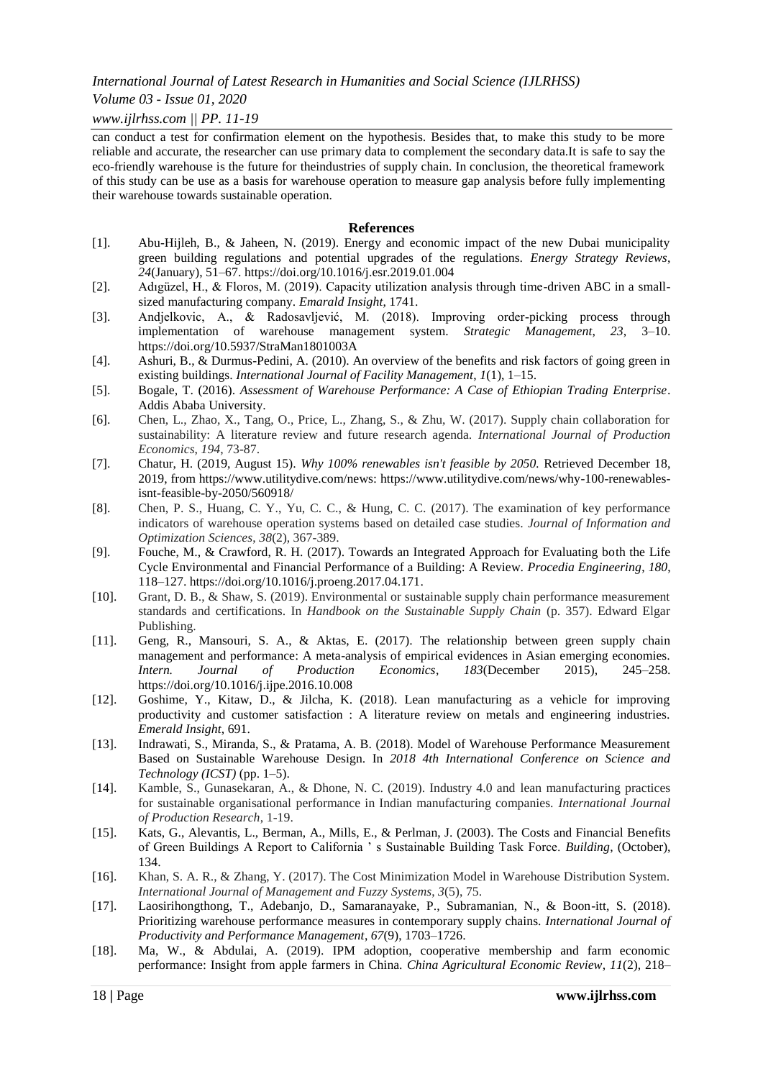#### *Volume 03 - Issue 01, 2020*

#### *www.ijlrhss.com || PP. 11-19*

can conduct a test for confirmation element on the hypothesis. Besides that, to make this study to be more reliable and accurate, the researcher can use primary data to complement the secondary data.It is safe to say the eco-friendly warehouse is the future for theindustries of supply chain. In conclusion, the theoretical framework of this study can be use as a basis for warehouse operation to measure gap analysis before fully implementing their warehouse towards sustainable operation.

#### **References**

- [1]. Abu-Hijleh, B., & Jaheen, N. (2019). Energy and economic impact of the new Dubai municipality green building regulations and potential upgrades of the regulations. *Energy Strategy Reviews*, *24*(January), 51–67. https://doi.org/10.1016/j.esr.2019.01.004
- [2]. Adıgüzel, H., & Floros, M. (2019). Capacity utilization analysis through time-driven ABC in a smallsized manufacturing company. *Emarald Insight*, 1741.
- [3]. Andjelkovic, A., & Radosavljević, M. (2018). Improving order-picking process through implementation of warehouse management system. *Strategic Management*, *23*, 3–10. https://doi.org/10.5937/StraMan1801003A
- [4]. Ashuri, B., & Durmus-Pedini, A. (2010). An overview of the benefits and risk factors of going green in existing buildings. *International Journal of Facility Management*, *1*(1), 1–15.
- [5]. Bogale, T. (2016). *Assessment of Warehouse Performance: A Case of Ethiopian Trading Enterprise*. Addis Ababa University.
- [6]. Chen, L., Zhao, X., Tang, O., Price, L., Zhang, S., & Zhu, W. (2017). Supply chain collaboration for sustainability: A literature review and future research agenda. *International Journal of Production Economics*, *194*, 73-87.
- [7]. Chatur, H. (2019, August 15). *Why 100% renewables isn't feasible by 2050.* Retrieved December 18, 2019, from https://www.utilitydive.com/news: https://www.utilitydive.com/news/why-100-renewablesisnt-feasible-by-2050/560918/
- [8]. Chen, P. S., Huang, C. Y., Yu, C. C., & Hung, C. C. (2017). The examination of key performance indicators of warehouse operation systems based on detailed case studies. *Journal of Information and Optimization Sciences*, *38*(2), 367-389.
- [9]. Fouche, M., & Crawford, R. H. (2017). Towards an Integrated Approach for Evaluating both the Life Cycle Environmental and Financial Performance of a Building: A Review. *Procedia Engineering*, *180*, 118–127. https://doi.org/10.1016/j.proeng.2017.04.171.
- [10]. Grant, D. B., & Shaw, S. (2019). Environmental or sustainable supply chain performance measurement standards and certifications. In *Handbook on the Sustainable Supply Chain* (p. 357). Edward Elgar Publishing.
- [11]. Geng, R., Mansouri, S. A., & Aktas, E. (2017). The relationship between green supply chain management and performance: A meta-analysis of empirical evidences in Asian emerging economies. *Intern. Journal of Production Economics*, *183*(December 2015), 245–258. https://doi.org/10.1016/j.ijpe.2016.10.008
- [12]. Goshime, Y., Kitaw, D., & Jilcha, K. (2018). Lean manufacturing as a vehicle for improving productivity and customer satisfaction : A literature review on metals and engineering industries. *Emerald Insight*, 691.
- [13]. Indrawati, S., Miranda, S., & Pratama, A. B. (2018). Model of Warehouse Performance Measurement Based on Sustainable Warehouse Design. In *2018 4th International Conference on Science and Technology (ICST)* (pp. 1–5).
- [14]. Kamble, S., Gunasekaran, A., & Dhone, N. C. (2019). Industry 4.0 and lean manufacturing practices for sustainable organisational performance in Indian manufacturing companies. *International Journal of Production Research*, 1-19.
- [15]. Kats, G., Alevantis, L., Berman, A., Mills, E., & Perlman, J. (2003). The Costs and Financial Benefits of Green Buildings A Report to California ' s Sustainable Building Task Force. *Building*, (October), 134.
- [16]. Khan, S. A. R., & Zhang, Y. (2017). The Cost Minimization Model in Warehouse Distribution System. *International Journal of Management and Fuzzy Systems*, *3*(5), 75.
- [17]. Laosirihongthong, T., Adebanjo, D., Samaranayake, P., Subramanian, N., & Boon-itt, S. (2018). Prioritizing warehouse performance measures in contemporary supply chains. *International Journal of Productivity and Performance Management*, *67*(9), 1703–1726.
- [18]. Ma, W., & Abdulai, A. (2019). IPM adoption, cooperative membership and farm economic performance: Insight from apple farmers in China. *China Agricultural Economic Review*, *11*(2), 218–